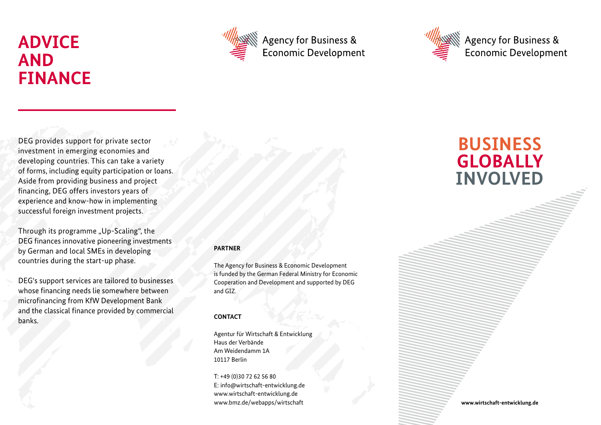# **ADVICE AND FINANCE**



Agency for Business & **Economic Development** 



Agency for Business & **Economic Development** 

DEG provides support for private sector investment in emerging economies and developing countries. This can take a variety of forms, including equity participation or loans. Aside from providing business and project financing, DEG offers investors years of experience and know-how in implementing successful foreign investment projects.

Through its programme "Up-Scaling", the DEG finances innovative pioneering investments by German and local SMEs in developing countries during the start-up phase.

DEG's support services are tailored to businesses whose financing needs lie somewhere between microfinancing from KfW Development Bank and the classical finance provided by commercial banks.

### **PARTNER**

The Agency for Business & Economic Development is funded by the German Federal Ministry for Economic Cooperation and Development and supported by DEG and GIZ.

### **CONTACT**

Agentur für Wirtschaft & Entwicklung Haus der Verbände Am Weidendamm 1A 10117 Berlin

T: +49 (0)30 72 62 56 80 E: info@wirtschaft-entwicklung.de www.wirtschaft-entwicklung.de www.bmz.de/webapps/wirtschaft

## **BUSINESS GLOBALLY INVOLVED**

**www.wirtschaft-entwicklung.de**